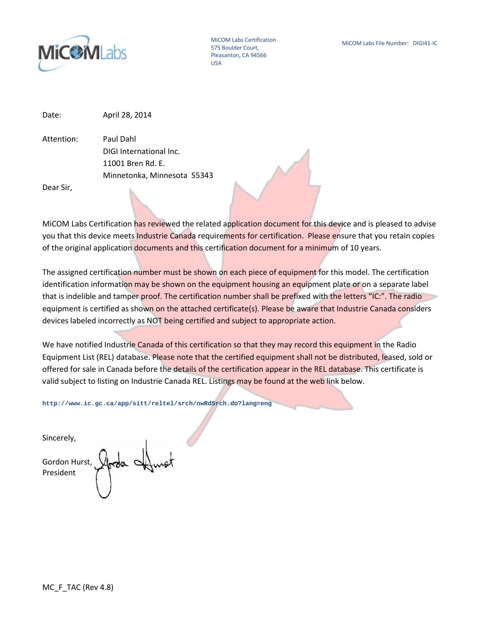

MiCOM Labs Certification 575 Boulder Court, Pleasanton, CA 94566 USA

Date: April 28, 2014

Attention: Paul Dahl DIGI International Inc. 11001 Bren Rd. E. Minnetonka, Minnesota 55343

Dear Sir,

MiCOM Labs Certification has reviewed the related application document for this device and is pleased to advise you that this device meets Industrie Canada requirements for certification. Please ensure that you retain copies of the original application documents and this certification document for a minimum of 10 years.

The assigned certification number must be shown on each piece of equipment for this model. The certification identification information may be shown on the equipment housing an equipment plate or on a separate label that is indelible and tamper proof. The certification number shall be prefixed with the letters "IC:". The radio equipment is certified as shown on the attached certificate(s). Please be aware that Industrie Canada considers devices labeled incorrectly as NOT being certified and subject to appropriate action.

We have notified Industrie Canada of this certification so that they may record this equipment in the Radio Equipment List (REL) database. Please note that the certified equipment shall not be distributed, leased, sold or offered for sale in Canada before the details of the certification appear in the REL database. This certificate is valid subject to listing on Industrie Canada REL. Listings may be found at the web link below.

**http://www.ic.gc.ca/app/sitt/reltel/srch/nwRdSrch.do?lang=eng**

Sincerely,

Gordon Hurst, President